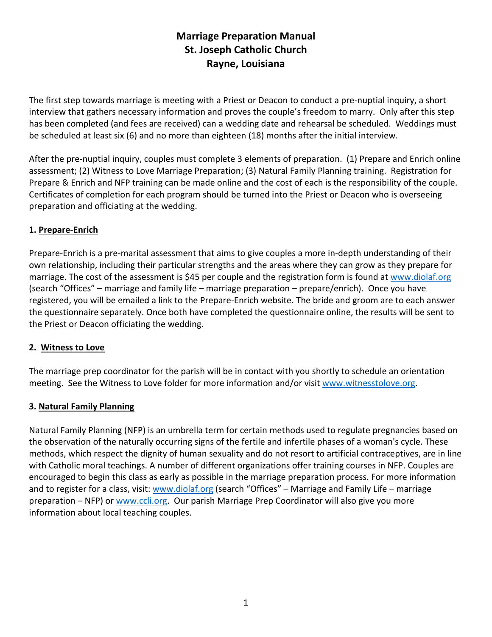# **Marriage Preparation Manual St. Joseph Catholic Church Rayne, Louisiana**

The first step towards marriage is meeting with a Priest or Deacon to conduct a pre-nuptial inquiry, a short interview that gathers necessary information and proves the couple's freedom to marry. Only after this step has been completed (and fees are received) can a wedding date and rehearsal be scheduled. Weddings must be scheduled at least six (6) and no more than eighteen (18) months after the initial interview.

After the pre-nuptial inquiry, couples must complete 3 elements of preparation. (1) Prepare and Enrich online assessment; (2) Witness to Love Marriage Preparation; (3) Natural Family Planning training. Registration for Prepare & Enrich and NFP training can be made online and the cost of each is the responsibility of the couple. Certificates of completion for each program should be turned into the Priest or Deacon who is overseeing preparation and officiating at the wedding.

# **1. Prepare-Enrich**

Prepare-Enrich is a pre-marital assessment that aims to give couples a more in-depth understanding of their own relationship, including their particular strengths and the areas where they can grow as they prepare for marriage. The cost of the assessment is \$45 per couple and the registration form is found at www.diolaf.org (search "Offices" – marriage and family life – marriage preparation – prepare/enrich). Once you have registered, you will be emailed a link to the Prepare-Enrich website. The bride and groom are to each answer the questionnaire separately. Once both have completed the questionnaire online, the results will be sent to the Priest or Deacon officiating the wedding.

# **2. Witness to Love**

The marriage prep coordinator for the parish will be in contact with you shortly to schedule an orientation meeting. See the Witness to Love folder for more information and/or visit www.witnesstolove.org.

# **3. Natural Family Planning**

Natural Family Planning (NFP) is an umbrella term for certain methods used to regulate pregnancies based on the observation of the naturally occurring signs of the fertile and infertile phases of a woman's cycle. These methods, which respect the dignity of human sexuality and do not resort to artificial contraceptives, are in line with Catholic moral teachings. A number of different organizations offer training courses in NFP. Couples are encouraged to begin this class as early as possible in the marriage preparation process. For more information and to register for a class, visit: www.diolaf.org (search "Offices" – Marriage and Family Life – marriage preparation – NFP) or www.ccli.org. Our parish Marriage Prep Coordinator will also give you more information about local teaching couples.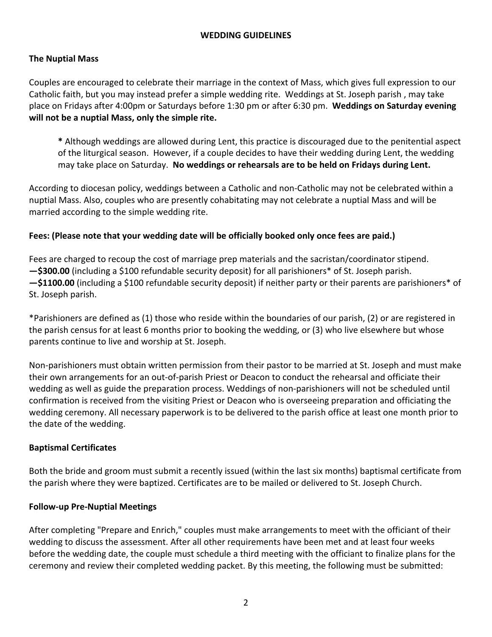# **WEDDING GUIDELINES**

# **The Nuptial Mass**

Couples are encouraged to celebrate their marriage in the context of Mass, which gives full expression to our Catholic faith, but you may instead prefer a simple wedding rite. Weddings at St. Joseph parish , may take place on Fridays after 4:00pm or Saturdays before 1:30 pm or after 6:30 pm. **Weddings on Saturday evening will not be a nuptial Mass, only the simple rite.**

**\*** Although weddings are allowed during Lent, this practice is discouraged due to the penitential aspect of the liturgical season. However, if a couple decides to have their wedding during Lent, the wedding may take place on Saturday. **No weddings or rehearsals are to be held on Fridays during Lent.**

According to diocesan policy, weddings between a Catholic and non-Catholic may not be celebrated within a nuptial Mass. Also, couples who are presently cohabitating may not celebrate a nuptial Mass and will be married according to the simple wedding rite.

# **Fees: (Please note that your wedding date will be officially booked only once fees are paid.)**

Fees are charged to recoup the cost of marriage prep materials and the sacristan/coordinator stipend. **—\$300.00** (including a \$100 refundable security deposit) for all parishioners\* of St. Joseph parish. **—\$1100.00** (including a \$100 refundable security deposit) if neither party or their parents are parishioners\* of St. Joseph parish.

\*Parishioners are defined as (1) those who reside within the boundaries of our parish, (2) or are registered in the parish census for at least 6 months prior to booking the wedding, or (3) who live elsewhere but whose parents continue to live and worship at St. Joseph.

Non-parishioners must obtain written permission from their pastor to be married at St. Joseph and must make their own arrangements for an out-of-parish Priest or Deacon to conduct the rehearsal and officiate their wedding as well as guide the preparation process. Weddings of non-parishioners will not be scheduled until confirmation is received from the visiting Priest or Deacon who is overseeing preparation and officiating the wedding ceremony. All necessary paperwork is to be delivered to the parish office at least one month prior to the date of the wedding.

#### **Baptismal Certificates**

Both the bride and groom must submit a recently issued (within the last six months) baptismal certificate from the parish where they were baptized. Certificates are to be mailed or delivered to St. Joseph Church.

#### **Follow-up Pre-Nuptial Meetings**

After completing "Prepare and Enrich," couples must make arrangements to meet with the officiant of their wedding to discuss the assessment. After all other requirements have been met and at least four weeks before the wedding date, the couple must schedule a third meeting with the officiant to finalize plans for the ceremony and review their completed wedding packet. By this meeting, the following must be submitted: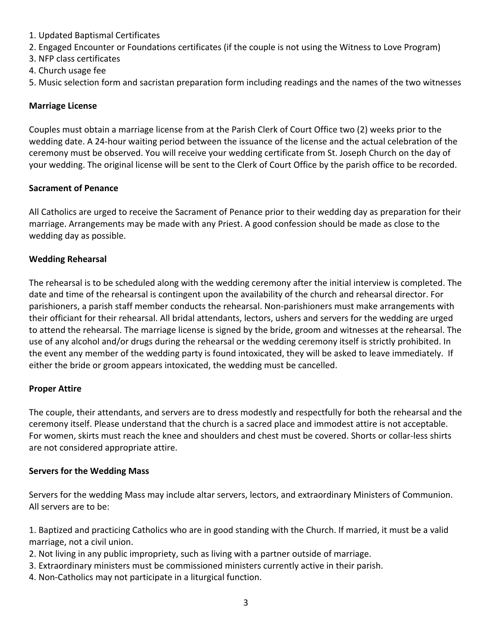- 1. Updated Baptismal Certificates
- 2. Engaged Encounter or Foundations certificates (if the couple is not using the Witness to Love Program)
- 3. NFP class certificates
- 4. Church usage fee
- 5. Music selection form and sacristan preparation form including readings and the names of the two witnesses

# **Marriage License**

Couples must obtain a marriage license from at the Parish Clerk of Court Office two (2) weeks prior to the wedding date. A 24-hour waiting period between the issuance of the license and the actual celebration of the ceremony must be observed. You will receive your wedding certificate from St. Joseph Church on the day of your wedding. The original license will be sent to the Clerk of Court Office by the parish office to be recorded.

# **Sacrament of Penance**

All Catholics are urged to receive the Sacrament of Penance prior to their wedding day as preparation for their marriage. Arrangements may be made with any Priest. A good confession should be made as close to the wedding day as possible.

# **Wedding Rehearsal**

The rehearsal is to be scheduled along with the wedding ceremony after the initial interview is completed. The date and time of the rehearsal is contingent upon the availability of the church and rehearsal director. For parishioners, a parish staff member conducts the rehearsal. Non-parishioners must make arrangements with their officiant for their rehearsal. All bridal attendants, lectors, ushers and servers for the wedding are urged to attend the rehearsal. The marriage license is signed by the bride, groom and witnesses at the rehearsal. The use of any alcohol and/or drugs during the rehearsal or the wedding ceremony itself is strictly prohibited. In the event any member of the wedding party is found intoxicated, they will be asked to leave immediately. If either the bride or groom appears intoxicated, the wedding must be cancelled.

#### **Proper Attire**

The couple, their attendants, and servers are to dress modestly and respectfully for both the rehearsal and the ceremony itself. Please understand that the church is a sacred place and immodest attire is not acceptable. For women, skirts must reach the knee and shoulders and chest must be covered. Shorts or collar-less shirts are not considered appropriate attire.

#### **Servers for the Wedding Mass**

Servers for the wedding Mass may include altar servers, lectors, and extraordinary Ministers of Communion. All servers are to be:

1. Baptized and practicing Catholics who are in good standing with the Church. If married, it must be a valid marriage, not a civil union.

- 2. Not living in any public impropriety, such as living with a partner outside of marriage.
- 3. Extraordinary ministers must be commissioned ministers currently active in their parish.
- 4. Non-Catholics may not participate in a liturgical function.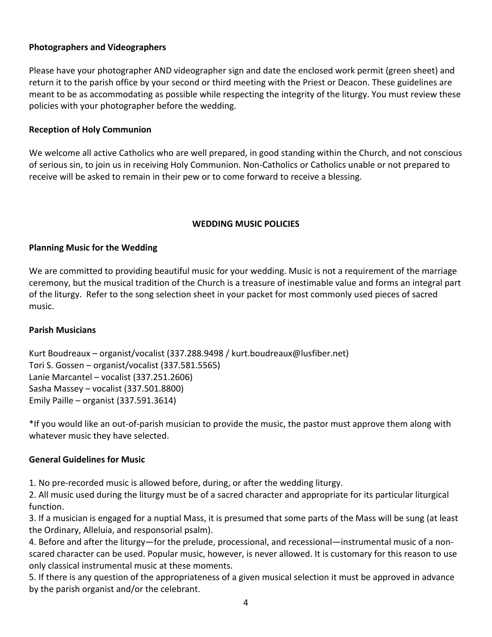# **Photographers and Videographers**

Please have your photographer AND videographer sign and date the enclosed work permit (green sheet) and return it to the parish office by your second or third meeting with the Priest or Deacon. These guidelines are meant to be as accommodating as possible while respecting the integrity of the liturgy. You must review these policies with your photographer before the wedding.

## **Reception of Holy Communion**

We welcome all active Catholics who are well prepared, in good standing within the Church, and not conscious of serious sin, to join us in receiving Holy Communion. Non-Catholics or Catholics unable or not prepared to receive will be asked to remain in their pew or to come forward to receive a blessing.

# **WEDDING MUSIC POLICIES**

# **Planning Music for the Wedding**

We are committed to providing beautiful music for your wedding. Music is not a requirement of the marriage ceremony, but the musical tradition of the Church is a treasure of inestimable value and forms an integral part of the liturgy. Refer to the song selection sheet in your packet for most commonly used pieces of sacred music.

#### **Parish Musicians**

Kurt Boudreaux – organist/vocalist (337.288.9498 / kurt.boudreaux@lusfiber.net) Tori S. Gossen – organist/vocalist (337.581.5565) Lanie Marcantel – vocalist (337.251.2606) Sasha Massey – vocalist (337.501.8800) Emily Paille – organist (337.591.3614)

\*If you would like an out-of-parish musician to provide the music, the pastor must approve them along with whatever music they have selected.

# **General Guidelines for Music**

1. No pre-recorded music is allowed before, during, or after the wedding liturgy.

2. All music used during the liturgy must be of a sacred character and appropriate for its particular liturgical function.

3. If a musician is engaged for a nuptial Mass, it is presumed that some parts of the Mass will be sung (at least the Ordinary, Alleluia, and responsorial psalm).

4. Before and after the liturgy—for the prelude, processional, and recessional—instrumental music of a nonscared character can be used. Popular music, however, is never allowed. It is customary for this reason to use only classical instrumental music at these moments.

5. If there is any question of the appropriateness of a given musical selection it must be approved in advance by the parish organist and/or the celebrant.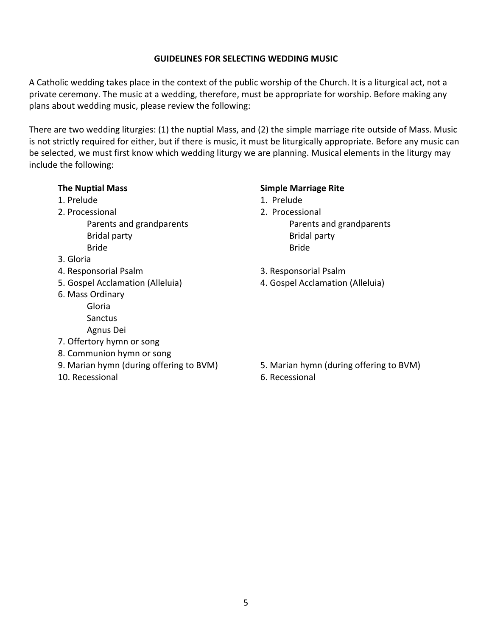#### **GUIDELINES FOR SELECTING WEDDING MUSIC**

A Catholic wedding takes place in the context of the public worship of the Church. It is a liturgical act, not a private ceremony. The music at a wedding, therefore, must be appropriate for worship. Before making any plans about wedding music, please review the following:

There are two wedding liturgies: (1) the nuptial Mass, and (2) the simple marriage rite outside of Mass. Music is not strictly required for either, but if there is music, it must be liturgically appropriate. Before any music can be selected, we must first know which wedding liturgy we are planning. Musical elements in the liturgy may include the following:

#### **The Nuptial Mass**

- 1. Prelude
- 2. Processional
- Parents and grandparents Bridal party Bride
- 3. Gloria
- 4. Responsorial Psalm
- 5. Gospel Acclamation (Alleluia)
- 6. Mass Ordinary Gloria Sanctus
	- Agnus Dei
- 7. Offertory hymn or song
- 8. Communion hymn or song
- 9. Marian hymn (during offering to BVM)
- 10. Recessional

#### **Simple Marriage Rite**

- 1. Prelude
- 2. Processional Parents and grandparents Bridal party Bride
- 3. Responsorial Psalm
- 4. Gospel Acclamation (Alleluia)

- 5. Marian hymn (during offering to BVM)
- 6. Recessional